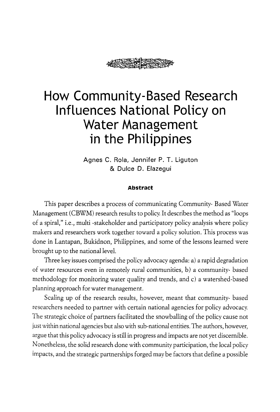

# **How Community-Based Research Influences National Policy on Water Management in the Philippines**

**Agnes C. Rola, Jennifer P. T. Liguton**  & **Dulce D. Elazegui** 

#### **Abstract**

This paper describes a process of communicating Community- Based Water Management (CBWM) research results to policy. It describes the method as "loops of a spiral," i.e., multi -stakeholder and participatory policy analysis where policy makers and researchers work together toward a policy solution. This process was done in Lantapan, Bukidnon, Philippines, and some of the lessons learned were brought up to the national level.

Three key issues comprised the policy advocacy agenda: a) a rapid degradation of water resources even in remotely rural communities, b) a community- based methodology for monitoring water quality and trends, and c) a watershed-based planning approach for water management.

Scaling up of the research results, however, meant that community- based researchers needed to partner with certain national agencies for policy advocacy. The strategic choice of partners facilitated the snowballing of the policy cause not just within national agencies but also with sub-national entities. The authors, however, argue that this policy advocacy is still in progress and impacts are not yet discernible. Nonetheless, the solid research done with community participation, the local policy impacts, and the strategic partnerships forged may be factors that define a possible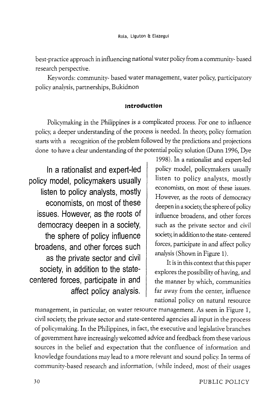best -practice approach in influencing national water policy from a community- based research perspective.

Keywords: community- based water management, water policy, participatory policy analysis, partnerships, Bukidnon

#### **Introduction**

Policymaking in the Philippines is a complicated process. For one to influence policy, a deeper understanding of the process is needed. In theory, policy formation starts with a recognition of the problem followed by the predictions and projections done to have a clear understanding of the potential policy solution (Dunn 1996, Dye

**In a rationalist and expert-led policy model, policymakers usually listen to policy analysts, mostly economists, on most of these issues. However, as the roots of democracy deepen in a society, the sphere of policy influence broadens, and other forces such as the private sector and civil society, in addition to the statecentered forces, participate in and affect policy analysis.** 

1998). In a rationalist and expert-led policy model, policymakers usually listen to policy analysts, mostly economists, on most of these issues. However, as the roots of democracy deepen in a society, the sphere of policy influence broadens, and other forces such as the private sector and civil society, in addition to the state- centered forces, participate in and affect policy analysis (Shown in Figure 1).

It is in this context that this paper explores the possibility of having, and the manner by which, communities far away from the center, influence national policy on natural resource

management, in particular, on water resource management. As seen in Figure 1, civil society, the private sector and state-centered agencies all input in the process of policymaking. In the Philippines, in fact, the executive and legislative branches of government have increasingly welcomed advice and feedback from these various sources in the belief and expectation that the confluence of information and knowledge foundations may lead to a more relevant and sound policy. In terms of community-based research and information, (while indeed, most of their usages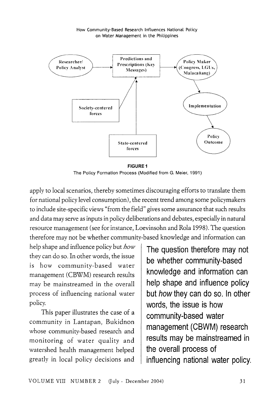

**FIGURE 1**  The Policy Formation Process (Modified from G. Meier, 1991)

apply to local scenarios, thereby sometimes discouraging efforts to translate them for national policy level consumption), the recent trend among some policymakers to include site-specific views "from the field" gives some assurance that such results and data may serve as inputs in policy deliberations and debates, especially in natural resource management (see for instance, Loevinsohn and Rola 1998). The question therefore may not be whether community-based knowledge and information can

help shape and influence policy but *how*  they can do so. In other words, the issue is how community-based water management (CBWM) research results may be mainstreamed in the overall process of influencing national water policy.

This paper illustrates the case of a community in Lantapan, Bukidnon whose community-based research and monitoring of water quality and watershed health management helped greatly in local policy decisions and

**The question therefore may not be whether community-based knowledge and information can help shape and influence policy but how they can do so. In other words, the issue is how community-based water management (CBWM) research results may be mainstreamed in the overall process of influencing national water policy.**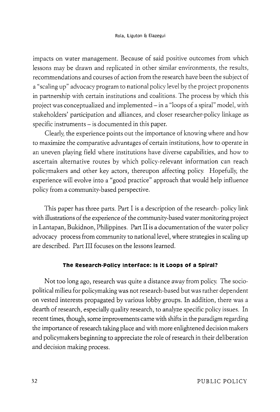impacts on water management. Because of said positive outcomes from which lessons may be drawn and replicated in other similar environments, the results, recommendations and courses of action from the research have been the subject of a "scaling up" advocacy program to national policy level by the project proponents in partnership with certain institutions and coalitions. The process by which this project was conceptualized and implemented- in a "loops of a spiral" model, with stakeholders' participation and alliances, and closer researcher-policy linkage as specific instruments - is documented in this paper.

Clearly, the experience points out the importance of knowing where and how to maximize the comparative advantages of certain institutions, how to operate in an uneven playing field where institutions have diverse capabilities, and how to ascertain alternative routes by which policy-relevant information can reach policymakers and other key actors, thereupon affecting policy. Hopefully, the experience will evolve into a "good practice" approach that would help influence policy from a community-based perspective.

This paper has three parts. Part I is a description of the research- policy link with illustrations of the experience of the community-based water monitoring project in Lantapan, Bukidnon, Philippines. Part II is a documentation of the water policy advocacy process from community to national level, where strategies in scaling up are described. Part III focuses on the lessons learned.

#### **The Research-Policy Interface: Is it Loops of a Spiral?**

Not too long ago, research was quite a distance away from policy. The sociopolitical milieu for policymaking was not research-based but was rather dependent on vested interests propagated by various lobby groups. In addition, there was a dearth of research, especially quality research, to analyze specific policy issues. In recent times, though, some improvements came with shifts in the paradigm regarding the importance of research taking place and with more enlightened decision makers and policymakers beginning to appreciate the role of research in their deliberation and decision making process.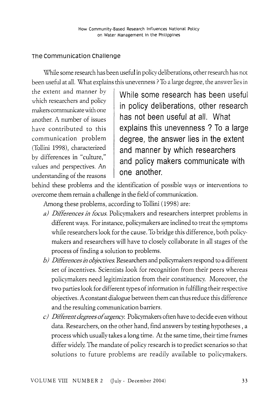## **The communication Challenge**

\X'hile some research has been useful in policy deliberations, other research has not been useful at all. What explains this unevenness ? To a large degree, the answer lies in

the extent and manner by which researchers and policy makers communicate with one another. A number of issues have contributed to this communication problem (Tollini 1998), characterized bv differences in "culture," values and perspectives. An understanding of the reasons

**While some research has been useful in policy deliberations, other research has not been useful at all. What explains this unevenness ? To a large degree, the answer lies in the extent and manner by which researchers and policy makers communicate with one another.** 

behind these problems and the identification of possible ways or interventions to overcome them remain a challenge in the field of communication.

Among these problems, according to Tollini ( 1998) are:

- *a) Differences in focus.* Policymakers and researchers interpret problems in different ways. For instance, policymakers are inclined to treat the symptoms while researchers look for the cause. To bridge this difference, both policymakers and researchers will have to closely collaborate in all stages of the process of finding a solution to problems.
- *b) Differences* in *objectives.* Researchers and policymakers respond to a different set of incentives. Scientists look for recognition from their peers whereas policymakers need legitimization from their constituency. Moreover, the two parties look for different types of information in fulfilling their respective objectives. A constant dialogue between them can thus reduce this difference and the resulting communication barriers.
- *c) Different degrees of urgency.* Policymakers often have to decide even without data. Researchers, on the other hand, find answers by testing hypotheses , a process which usually takes a long time. At the same time, their time frames differ widely. The mandate of policy research is to predict scenarios so that solutions to future problems are readily available to policymakers.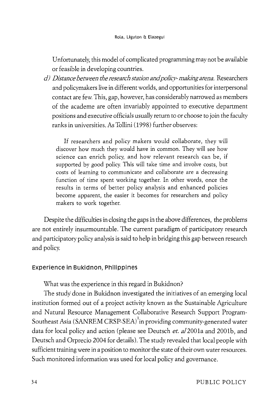Unfortunately, this model of complicated programming may not be available or feasible in developing countries.

*d) Distance between the research station and policy-making arena.* Researchers and policymakers live in different worlds, and opportunities for interpersonal contact are few. This, gap, however, has considerably narrowed as members of the academe are often invariably appointed to executive department positions and executive officials usually return to or choose to join the faculty ranks in universities. As Tollini (1998) further observes:

If researchers and policy makers would collaborate, they will discover how much they would have in common. They will see how science can enrich policy, and how relevant research can be, if supported by good policy. This will take time and involve costs, but costs of learning to communicate and collaborate are a decreasing function of time spent working together. In other words, once the results in terms of better policy analysis and enhanced policies become apparent, the easier it becomes for researchers and policy makers to work together.

Despite the difficulties in closing the gaps in the above differences, the problems are not entirely insurmountable. The current paradigm of participatory research and participatory policy analysis is said to help in bridging this gap between research and policy.

## **Experience in Bukidnon, Philippines**

What was the experience in this regard in Bukidnon?

The study done in Bukidnon investigated the initiatives of an emerging local institution formed out of a project activity known as the Sustainable Agriculture and Natural Resource Management Collaborative Research Support Program-Southeast Asia (SANREM CRSP-SEA) $^1$ in providing community-generated water data for local policy and action (please see Deutsch *et.* al2001a and 2001b, and Deutsch and Orprecio 2004 for details). The study revealed that local people with sufficient training were in a position to monitor the state of their own water resources. Such monitored information was used for local policy and governance.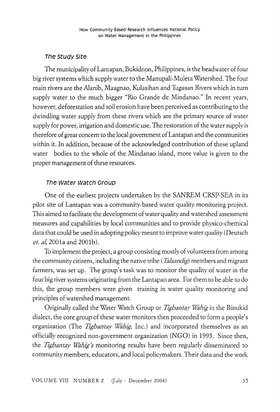## **The study Site**

The municipality of Lantapan, Bukidnon, Philippines, is the headwater of four big river systems which supply water to the Manupali-Muleta Watershed. The four main rivers are the Alanib, Maagnao, Kulasihan and Tugasan Rivers which in turn supply water to the much bigger "Rio Grande de Mindanao." In recent years, however, deforestation and soil erosion have been perceived as contributing to the dwindling water supply from these rivers which are the primary source of water supply for power, irrigation and domestic use. The restoration of the water supply is therefore of great concern to the local government of Lantapan and the communities within it. In addition, because of the acknowledged contribution of these upland water bodies to the whole of the Mindanao island, more value is given to the proper management of these resources.

## **The water watch croup**

One of the earliest projects undertaken by the SANREM CRSP-SEA in its pilot site of Lantapan was a community-based water quality monitoring project. This aimed to facilitate the development of water quality and watershed assessment measures and capabilities by local communities and to provide physico-chemical data that could be used in adopting policy meant to improve water quality (Deutsch *et. al*, 2001a and 2001b).

To implement the project, a group consisting mostly of volunteers from among the community citizens, including the native tribe ( *Talaandig)* members and migrant farmers, was set up. The group's task was to monitor the quality of water in the four big river systems originating from the Lantapan area. For them to be able to do this, the group members were given training in water quality monitoring and principles of watershed management.

Originally called the Water Watch Group or *Tigbantay Wahig* in the Binukid dialect, the core group of these water monitors then proceeded to form a people's organization (The *Tigbantay Wahig*, Inc.) and incorporated themselves as an officially recognized non-government organization (NGO) in 1995. Since then, the *Tigbantay Wahig's* monitoring results have been regularly disseminated to community members, educators, and local policymakers. Their data and the work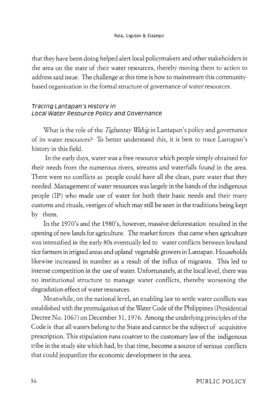that they have been doing helped alert local policymakers and other stakeholders in the area on the state of their water resources, thereby moving them to action to address said issue. The challenge at this time is how to mainstream this communitybased organization in the formal structure of governance of water resources.

## Tracing Lantapan's History in Local Water Resource Policy and Governance

What is the role of the *Tigbantay Wahig* in Lantapan's policy and governance of its water resources? To better understand this, it is best to trace Lantapan's history in this field.

In the early days, water was a free resource which people simply obtained for their needs from the numerous rivers, streams and waterfalls found in the area. There were no conflicts as people could have all the clean, pure water that they needed. Management of water resources was largely in the hands of the indigenous people (IP) who made use of water for both their basic needs and their many customs and rituals, vestiges of which may still be seen in the traditions being kept by them.

In the 1970's and the 1980's, however, massive deforestation resulted in the opening of new lands for agriculture. The market forces that came when agriculture was intensified in the early 80s eventually led to water conflicts between lowland rice farmers in irrigted areas and upland vegetable growers in Lantapan. Households likewise increased in number as a result of the influx of migrants. This led to intense competition in the use of water. Unfortunately, at the local level, there was no institutional structure to manage water conflicts, thereby worsening the degradation effect of water resources.

Meanwhile, on the national level, an enabling law to settle water conflicts was established with the promulgation of the Water Code of the Philippines (Presidential Decree No. 1067) on December 31, 1976. Among the underlying principles of the Code is that all waters belong to the State and cannot be the subject of acquisitive prescription. This stipulation runs counter to the customary law of the indigenous tribe in the study site which had, by that time, become a source of serious conflicts that could jeopardize the economic development in the area.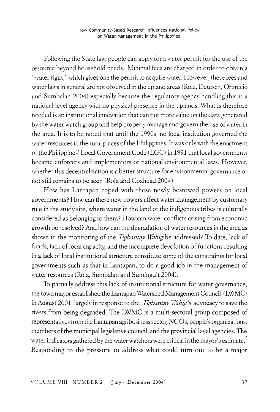Following the State law, people can apply for a water permit for the use of the resource beyond household needs. Minimal fees are charged in order to obtain a "water right," which gives one the permit to acquire water. However, these fees and water laws in general are not observed in the upland areas (Rola, Deutsch, Orprecio and Sumbalan 2004) especially because the regulatory agency handling this is a national level agency with no physical presence in the uplands. What is therefore needed is an institutional innovation that can put more value on the data generated by the water watch group and help properly manage and govern the use of water in the area. It is to be noted that until the 1990s, no local institution governed the water resources in the rural places of the Philippines. It was only with the enactment of the Philippines' Local Government Code (LGC) in 1991 that local governments became enforcers and implementors of national environmental laws. However, whether this decentralization is a better structure for environmental governance or not still remains to be seen (Rola and Coxhead 2004).

How has Lantapan coped with these newly bestowed powers on local governments? How can these new powers affect water management by customary rule in the study site, where water in the land of the indigenous tribes is culturally considered as belonging to them? How can water conflicts arising from economic growth be resolved? And how can the degradation of water resources in the area as shown in the monitoring of the *Tigbantay Wahig* be addressed? To date, lack of funds, lack of local capacity, and the incomplete devolution of functions resulting in a lack of local institutional structure constitute some of the constraints for local governments such as that in Lantapan, to do a good job in the management of water resources (Rola, Sumbalan and Suminguit 2004).

To partially address this lack of institutional structure for water governance, the town mayor established the Lantapan Watershed Management Council (LWMC) in August 2001, largely in response to the *Tigbantay Wahig's* advocacy to save the rivers from being degraded. The LWMC is a multi-sectoral group composed of representatives from the Lantapan agribusiness sector, NGOs, people's organizations, members of the municipal legislative council, and the provincial level agencies. The water indicators gathered by the water watchers were critical in the mayor's estimate. $^2$ Responding to the pressure to address what could turn out to be a major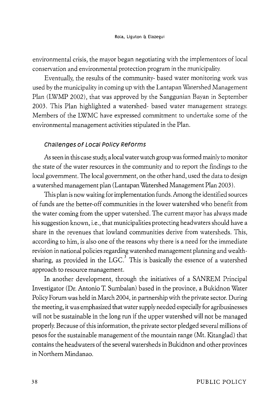environmental crisis, the mayor began negotiating with the implementors of local conservation and environmental protection program in the municipality.

Eventually, the results of the community- based water monitoring work was used by the municipality *in coming* up with the Lantapan Watershed Management Plan (LWMP 2002), that was approved by the Sanggunian Bayan in September 2003. This Plan highlighted a watershed- based water management strategy. Members of the LWMC have expressed commitment to undertake some of the environmental management activities stipulated in the Plan.

#### **Challenges of Local Policy Reforms**

As seen in this case study, a local water watch group was formed mainly to monitor the state of the water resources in the community and to report the findings to the local government. The local government, on the other hand, used the data to design a watershed management plan (Lantapan Watershed Management Plan 2003).

This plan is now waiting for implementation funds. Among the identified sources of funds are the better-off communities in the lower watershed who benefit from the water coming from the upper watershed. The current mayor has always made his suggestion known, i.e., that municipalities protecting headwaters should have a share in the revenues that lowland communities derive from watersheds. This, according to him, is also one of the reasons why there is a need for the immediate revision in national policies regarding watershed management planning and wealthsharing, as provided in the LGC.<sup>3</sup> This is basically the essence of a watershed approach to resource management.

In another development, through the initiatives of a SANREM Principal Investigator (Dr. Antonio T. Sumbalan) based in the province, a Bukidnon Water Policy Forum was held in March 2004, in partnership with the private sector. During the meeting, it was emphasized that water supply needed especially for agribusinesses will not be sustainable in the long run if the upper watershed will not be managed properly. Because of this information, the private sector pledged several millions of pesos for the sustainable management of the mountain range (Mt. Kitanglad) that contains the headwaters of the several watersheds in Bukidnon and other provinces in Northern Mindanao.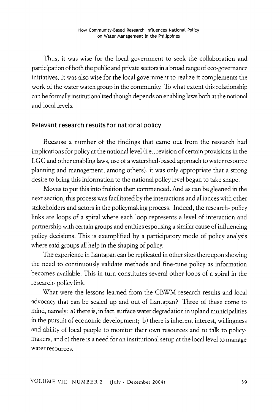Thus, it was wise for the local government to seek the collaboration and participation of both the public and private sectors in a broad range of eco-governance initiatives. It was also wise for the local government to realize it complements the work of the water watch group in the community. To what extent this relationship can be formally institutionalized though depends on enabling laws both at the national and local levels.

## **Relevant research results for national policy**

Because a number of the findings that came out from the research had implications for policy at the national level (i.e., revision of certain provisions in the LGC and other enabling laws, use of a watershed-based approach to water resource planning and management, among others), it was only appropriate that a strong desire to bring this information to the national policy level began to take shape.

Moves to put this into fruition then commenced. And as can be gleaned in the next section, this process was facilitated by the interactions and alliances with other stakeholders and actors in the policymaking process. Indeed, the research- policy links are loops of a spiral where each loop represents a level of interaction and partnership with certain groups and entities espousing a similar cause of influencing policy decisions. This is exemplified by a participatory mode of policy analysis where said groups all help in the shaping of policy.

The experience in Lantapan can be replicated in other sites thereupon showing the need to continuously validate methods and fine-tune policy as information becomes available. This in turn constitutes several other loops of a spiral in the research- policy link.

What were the lessons learned from the CBWM research results and local advocacy that can be scaled up and out of Lantapan? Three of these come to mind, namely: a) there is, in fact, surface water degradation in upland municipalities in the pursuit of economic development; b) there is inherent interest, willingness and ability of local people to monitor their own resources and to talk to policymakers, and c) there is a need for an institutional setup at the local level to manage water resources.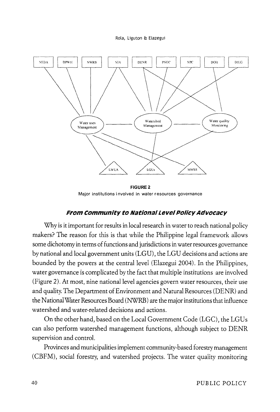

**FIGURE2**  Major institutions involved in water resources governance

## **From community to National Level Policy Advocacy**

Why is it important for results in local research in water to reach national policy makers? The reason for this is that while the Philippine legal framework allows some dichotomy in terms of functions and jurisdictions in water resources governance by national and local government units (LGU), the LGU decisions and actions are bounded by the powers at the central level (Elazegui 2004). In the Philippines, water governance is complicated by the fact that multiple institutions are involved (Figure 2). At most, nine national level agencies govern water resources, their use and quality. The Department of Environment and Natural Resources (DENR) and the National Water Resources Board (NWRB) are the major institutions that influence watershed and water-related decisions and actions.

On the other hand, based on the Local Government Code (LGC), the LGUs can also perform watershed management functions, although subject to DENR supervision and control.

Provinces and municipalities implement community-based forestry management (CBFM), social forestry, and watershed projects. The water quality monitoring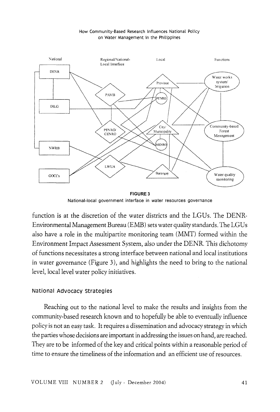#### How Community-Based Research Influences National Policy on Water Management in the Philippines



FIGURE3 National-local government interface in water resources governance

function is at the discretion of the water districts and the LGUs. The DENR-Environmental Management Bureau (EMB) sets water quality standards. The LG Us also have a role in the multipartite monitoring team (MMT) formed within the Environment Impact Assessment System, also under the DENR. This dichotomy of functions necessitates a strong interface between national and local institutions in water governance (Figure 3), and highlights the need to bring to the national level, local level water policy initiatives.

#### National Advocacy strategies

Reaching out to the national level to make the results and insights from the community-based research known and to hopefully be able to eventually influence policy is not an easy task. It requires a dissemination and advocacy strategy in which the parties whose decisions are important in addressing the issues on hand, are reached. They are to be informed of the key and critical points within a reasonable period of time to ensure the timeliness of the information and an efficient use of resources.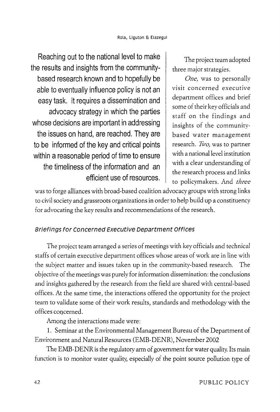Reaching out to the national level to make the results and insights from the communitybased research known and to hopefully be able to eventually influence policy is not an easy task. It requires a dissemination and advocacy strategy in which the parties whose decisions are important in addressing the issues on hand, are reached. They are to be informed of the key and critical points within a reasonable period of time to ensure the timeliness of the information and an efficient use of resources.

The project team adopted three major strategies.

*One,* was to personally visit concerned executive department offices and brief some of their key officials and staff on the findings and insights of the communitybased water management research. *Two,* was to partner with a national level institution with a clear understanding of the research process and links to policymakers. And *three* 

was to forge alliances with broad-based coalition advocacy groups with strong links to civil society and grassroots organizations in order to help build up a constituency for advocating the key results and recommendations of the research.

# Briefings for concerned Executive Department Offices

The project team arranged a series of meetings with key officials and technical staffs of certain executive department offices whose areas of work are in line with the subject matter and issues taken up in the community-based research. The objective of the meetings was purely for information dissemination: the conclusions and insights gathered by the research from the field are shared with central-based offices. At the same time, the interactions offered the opportunity for the project team to validate some of their work results, standards and methodology with the offices concerned.

Among the interactions made were:

1. Seminar at the Environmental Management Bureau of the Department of Environment and Natural Resources (EMB-DENR), November 2002

The EMB-DENR is the regulatory arm of government for water quality. Its main function is to monitor water quality, especially of the point source pollution type of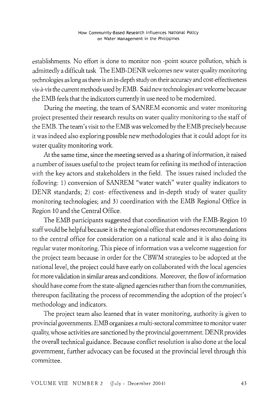establishments. No effort is done to monitor non -point source pollution, which is admittedly a difficult task The EMB-DENR welcomes new water quality monitoring technologies as long as there is an in -depth study on their accuracy and cost -effectiveness vis-a-vis the current methods used by EMB. Said new technologies are welcome because the EMB feels that the indicators currently in use need to be modernized.

During the meeting, the team of SANREM economic and water monitoring project presented their research results on water quality monitoring to the staff of the EMB. The team's visit to the EMB was welcomed by the EMB precisely because it was indeed also exploring possible new methodologies that it could adopt for its water quality monitoring work.

At the same time, since the meeting served as a sharing of information, it raised a number of issues useful to the project team for refining its method of interaction with the key actors and stakeholders in the field. The issues raised included the following: 1) conversion of SANREM "water watch" water quality indicators to DENR standards; 2) cost- effectiveness and in-depth study of water quality monitoring technologies; and 3) coordination with the EMB Regional Office in Region 10 and the Central Office.

The EMB participants suggested that coordination with the EMB-Region 10 staff would be helpful because it is the regional office that endorses recommendations to the central office for consideration on a national scale and it is also doing its regular water monitoring. This piece of information was a welcome suggestion for the project team because in order for the CBWM strategies to be adopted at the national level, the project could have early on collaborated with the local agencies for more validation in similar areas and conditions. Moreover, the flow of information should have come from the state-aligned agencies rather than from the communities, thereupon facilitating the process of recommending the adoption of the project's methodology and indicators.

The project team also learned that in water monitoring, authority is given to provincial governments. EMB organizes a multi-sectoral committee to monitor water quality, whose activities are sanctioned by the provincial government. DENR provides the overall technical guidance. Because conflict resolution is also done at the local government, further advocacy can be focused at the provincial level through this committee.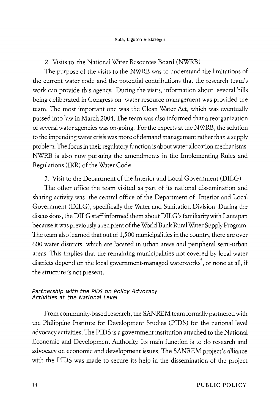### 2. Visits to the National Water Resources Board (NWRB)

The purpose of the visits to the NWRB was to understand the limitations of the current water code and the potential contributions that the research team's work can provide this agency. During the visits, information about several bills being deliberated in Congress on water resource management was provided the team. The most important one was the Clean Water Act, which was eventually passed into law in March 2004. The team was also informed that a reorganization of several water agencies was on-going. For the experts at the NWRB, the solution to the impending water crisis was more of demand management rather than a supply problem. The focus in their regulatory function is about water allocation mechanisms. NWRB is also now pursuing the amendments in the Implementing Rules and Regulations (IRR) of the Water Code.

3. Visit to the Department of the Interior and Local Government (DILG)

The other office the team visited as part of its national dissemination and sharing activity was the central office of the Department of Interior and Local Government (DILG), specifically the Water and Sanitation Division. During the discussions, the DILG staff informed them about DILG' s familiarity with Lantapan because it was previously a recipient of the World Bank Rural Water Supply Program. The team also learned that out of 1,500 municipalities in the country, there are over 600 water districts which are located in urban areas and peripheral semi-urban areas. This implies that the remaining municipalities not covered by local water districts depend on the local government-managed waterworks 4 , or none at all, if the structure is not present.

#### Partnership with the PIDS on Policy Advocacy Activities at the National Level

From community-based research, the SANREM team formally partnered with the Philippine Institute for Development Studies (PIDS) for the national level advocacy activities. The PIDS is a government institution attached to the National Economic and Development Authority. Its main function is to do research and advocacy on economic and development issues. The SANREM project's alliance with the PIDS was made to secure its help in the dissemination of the project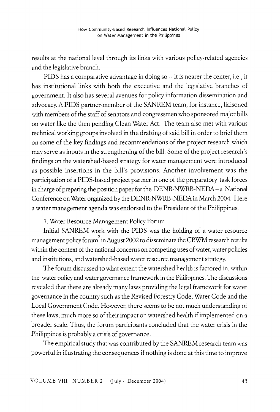results at the national level through its links with various policy-related agencies and the legislative branch.

PIDS has a comparative advantage in doing so-- it is nearer the center, i.e., it has institutional links with both the executive and the legislative branches of government. It also has several avenues for policy information dissemination and advocacy. A PIDS partner-member of the SANREM team, for instance, liaisoned with members of the staff of senators and congressmen who sponsored major bills on water like the then pending Clean Water Act. The team also met with various technical working groups involved in the drafting of said bill in order to brief them on some of the key findings and recommendations of the project research which may serve as inputs in the strengthening of the bill. Some of the project research's findings on the watershed-based strategy for water management were introduced as possible insertions in the bill's provisions. Another involvement was the participation of a PIDS-based project partner in one of the preparatory task forces in charge of preparing the position paper for the  $DENR-NWRB-NEDA - a$  National Conference on Water organized by the DENR-NWRB-NEDAin March 2004. Here a water management agenda was endorsed to the President of the Philippines.

## 1. Water Resource Management Policy Forum

Initial SANREM work with the PIDS was the holding of a water resource management policy forum in August 2002 to disseminate the CBWM research results within the context of the national concerns on competing uses of water, water policies and institutions, and watershed-based water resource management strategy.

The forum discussed to what extent the watershed health is factored in, within the water policy and water governance framework in the Philippines. The discussions revealed that there are already many laws providing the legal framework for water governance in the country such as the Revised Forestry Code, Water Code and the Local Government Code. However, there seems to be not much understanding of these laws, much more so of their impact on watershed health if implemented on a broader scale. Thus, the forum participants concluded that the water crisis in the Philippines is probably a crisis of governance.

The empirical study that was contributed by the SANREM research team was powerful in illustrating the consequences if nothing is done at this time to improve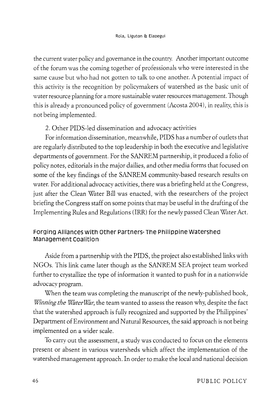the current water policy and governance in the country. Another important outcome of the forum was the coming together of professionals who were interested in the same cause but who had not gotten to talk to one another. A potential impact of this activity is the recognition by policymakers of watershed as the basic unit of water resource planning for a more sustainable water resources management. Though this is already a pronounced policy of government (Acosta 2004), in reality, this is not being implemented.

# 2. Other PIDS-led dissemination and advocacy activities

For information dissemination, meanwhile, PIDS has a number of outlets that are regularly distributed to the top leadership in both the executive and legislative departments of government. For the SANREM partnership, it produced a folio of policy notes, editorials in the major dailies, and other media forms that focused on some of the key findings of the SANREM community-based research results on water. For additional advocacy activities, there was a briefing held at the Congress, just after the Clean Water Bill was enacted, with the researchers of the project briefing the Congress staff on some points that may be useful in the drafting of the Implementing Rules and Regulations (IRR) for the newly passed Clean Water Act.

# **Forging Alliances with Other Partners- The Philippine watershed Management coalition**

Aside from a partnership with the PIDS, the project also established links with NGOs. This link came later though as the SANREM SEA project team worked further to crystallize the type of information it wanted to push for in a nationwide advocacy program.

When the team was completing the manuscript of the newly-published book, *Winning the WaterWar*, the team wanted to assess the reason why, despite the fact that the watershed approach is fully recognized and supported by the Philippines' Department of Environment and Natural Resources, the said approach is not being implemented on a wider scale.

To carry out the assessment, a study was conducted to focus on the elements present or absent in various watersheds which affect the implementation of the watershed management approach. In order to make the local and national decision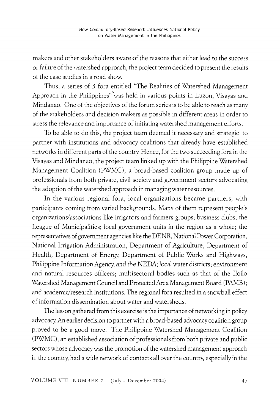makers and other stakeholders aware of the reasons that either lead to the success or failure of the watershed approach, the project team decided to present the results of the case studies in a road show.

Thus, a series of 3 fora entitled "The Realities of Watershed Management Approach in the Philippines" was held in various points in Luzon, Visayas and Mindanao. One of the objectives of the forum series is to be able to reach as many of the stakeholders and decision makers as possible in different areas in order to stress the relevance and importance of initiating watershed management efforts.

To be able to do this, the project team deemed it necessary and strategic to partner with institutions and advocacy coalitions that already have established networks in different parts of the country. Hence, for the two succeeding fora in the Visayas and Mindanao, the project team linked up with the Philippine Watershed Management Coalition (PWMC), a broad-based coalition group made up of professionals from both private, civil society and government sectors advocating the adoption of the watershed approach in managing water resources.

In the various regional fora, local organizations became partners, with participants coming from varied backgrounds. Many of them represent people's organizations/associations like irrigators and farmers groups; business clubs; the League of Municipalities; local government units in the region as a whole; the representatives of government agencies like the DENR, National Power Corporation, National Irrigation Administration, Department of Agriculture, Department of Health, Department of Energy, Department of Public Works and Highways, Philippine Information Agency, and the NEDA; *local* water districts; environment and natural resources officers; multisectoral bodies such as that of the Iloilo Watershed Management Council and Protected Area Management Board (PAMB); and academic/research institutions. The regional fora resulted in a snowball effect of information dissemination about water and watersheds.

The lesson gathered from this exercise is the importance of networking in policy advocacy. An earlier decision to partner with a broad-based advocacy coalition group proved to be a good move. The Philippine Watershed Management Coalition (PWMC), an established association of professionals from both private and public sectors whose advocacy was the promotion of the watershed management approach in the country, had a wide network of contacts all over the country, especially in the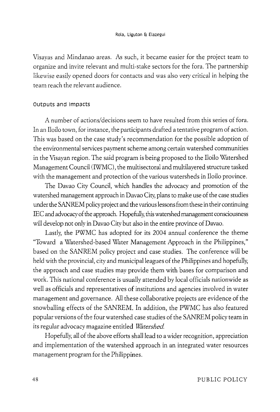Visayas and Mindanao areas. As such, it became easier for the project team to organize and invite relevant and multi-stake sectors for the fora. The partnership likewise easily opened doors for contacts and was also very critical in helping the team reach the relevant audience.

## outputs and Impacts

A number of actions/decisions seem to have resulted from this series of fora. In an Iloilo town, for instance, the participants drafted a tentative program of action. This was based on the case study's recommendation for the possible adoption of the environmental services payment scheme among certain watershed communities in the Visayan region. The said program is being proposed to the Iloilo Watershed Management Council (IWMC), the multisectoral and multilayered structure tasked with the management and protection of the various watersheds in Iloilo province.

The Davao City Council, which handles the advocacy and promotion of the watershed management approach in Davao City, plans to make use of the case studies under the SANREM policy project and the various lessons from these in their continuing IEC and advocacy of the approach. Hopefully, this watershed management consciousness will develop not only in Davao City but also in the entire province of Davao.

Lastly, the PWMC has adopted for its 2004 annual conference the theme "Toward a Watershed-based Water Management Approach in the Philippines," based on the SANREM policy project and case studies. The conference will be held with the provincial, city and municipal leagues of the Philippines and hopefully, the approach and case studies may provide them with bases for comparison and work. This national conference is usually attended by local officials nationwide as well as officials and representatives of institutions and agencies involved in water management and governance. All these collaborative projects are evidence of the snowballing effects of the SANREM. In addition, the PWMC has also featured popular versions of the four watershed case studies of the SANREM policy team in its regular advocacy magazine entitled *Watershed* 

Hopefully, all of the above efforts shall lead to a wider recognition, appreciation and implementation of the watershed approach in an integrated water resources management program for the Philippines.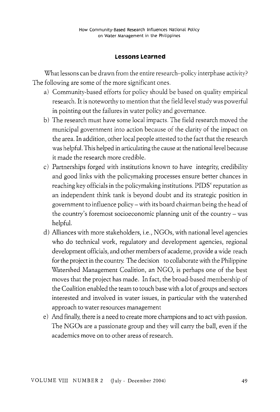#### **Lessons Learned**

What lessons can be drawn from the entire research-policy interphase activity? The following are some of the more significant ones.

- a) Community-based efforts for policy should be based on quality empirical research. It is noteworthy to mention that the field level study was powerful in pointing out the failures in water policy and governance.
- b) The research must have some local impacts. The field research moved the municipal government into action because of the clarity of the impact on the area. In addition, other local people attested to the fact that the research was helpful. This helped in articulating the cause at the national level because it made the research more credible.
- c) Partnerships forged with institutions known to have integrity, credibility and good links with the policymaking processes ensure better chances in reaching key officials in the policymaking institutions. PIDS' reputation as an independent think tank is beyond doubt and its strategic position in government to influence policy- with its board chairman being the head of the country's foremost socioeconomic planning unit of the country- was helpful.
- d) Alliances with more stakeholders, i.e., NGOs, with national level agencies who do technical work, regulatory and development agencies, regional development officials, and other members of academe, provide a wide reach for the project in the country. The decision to collaborate with the Philippine Watershed Management Coalition, an NGO, is perhaps one of the best moves that the project has made. In fact, the broad-based membership of the Coalition enabled the team to touch base with a lot of groups and sectors interested and involved in water issues, in particular with the watershed approach to water resources management
- e) And finally, there is a need to create more champions and to act with passion. The NGOs are a passionate group and they will carry the ball, even if the academics move on to other areas of research.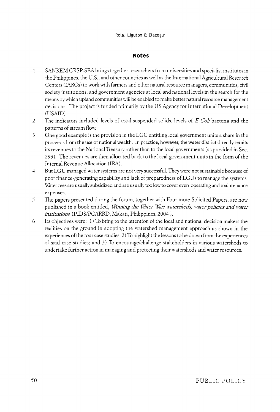#### **Notes**

- SANREM CRSP-SEA brings together researchers from universities and specialist institutes in  $\mathbf{1}$ the Philippines, the U.S., and other countries as well as the International Agricultural Research Centers (IARCs) to work with farmers and other natural resource managers, communities, civil society institutions, and government agencies at local and national levels in the search for the means by which upland communities will be enabled to make better natural resource management decisions. The project is funded primarily by the US Agency for International Development (USAID).
- 2 The indicators included levels of total suspended solids, levels of *E Coli* bacteria and the patterns of stream flow.
- 3 One good example is the provision in the LGC entitling local government units a share in the proceeds from the use of national wealth. In practice, however, the water district directly remits its revenues to the National Treasury rather than to the local governments (as provided in Sec. 293 ). The revenues are then allocated back to the local government units in the form of the Internal Revenue Allocation (IRA).
- 4 But LGU managed water systems are not very successful. They were not sustainable because of poor finance-generating capability and lack of preparedness ofLGUs to manage the systems. Water fees are usually subsidized and are usually too low to cover even operating and maintenance expenses.
- 5 The papers presented during the forum, together with Four more Solicited Papers, are now published in a book entitled, *Winning the W'ater W'ar: watersheds, water policies and water institutions* (PIDS;PCARRD, Makati, Philippines, 2004 ).
- 6 Its objectives were: 1) To bring to the attention of the local and national decision makers the realities on the ground in adopting the watershed management approach as shown in the experiences of the four case studies; 2) To highlight the lessons to be drawn from the experiences of said case studies; and 3) To encourage/challenge stakeholders in various watersheds to undertake further action in managing and protecting their watersheds and water resources.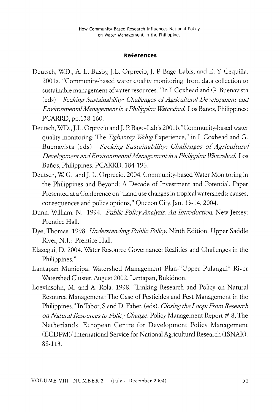#### **References**

- Deutsch, W.D., A. L. Busby, J.L. Orprecio, J. P. Bago-Labis, and E. Y. Cequiña. 2001a. "Community-based water quality monitoring: from data collection to sustainable management of water resources." In I. Coxhead and G. Buenavista (eds): *Seeking Sustainabifjty: Challenges of Agricultural Development and Environmental Management in a Philippine Watershed*. Los Baños, Philippines: PCARRD, pp.138-160.
- Deutsch, WD.,J.L. Orprecio and]. P Bago-Labis 2001b."Community-based water quality monitoring: The *Tigbantay Wahig* Experience," in I. Coxhead and G. Buenavista (eds). *Seeking Sustainability: Challenges of Agricultural Development and Environmental Management in a Philippine Watershed.* Los Banos, Philippines: PCARRD. 184-196.
- Deutsch, W G. and]. L. Orprecio. 2004. Community-based Water Monitoring in the Philippines and Beyond: A Decade of Investment and Potential. Paper Presented at a Conference on "Land use changes in tropical watersheds: causes, consequences and policy options," Quezon City. Jan. 13-14, 2004.
- Dunn, William. N. 1994. *Public Policy Analysis: An Introduction.* New Jersey: Prentice Hall.
- Dye, Thomas. 1998. *Understanding Pubfjc Pofjcy.* Ninth Edition. Upper Saddle River, N.J.: Prentice Hall.
- Elazegui, D. 2004. Water Resource Governance: Realities and Challenges in the Philippines."
- Lantapan Municipal Watershed Management Plan- "Upper Pulangui" River Watershed Cluster. August 2002. Lantapan, Bukidnon.
- Loevinsohn, M. and A. Rola. 1998. "Linking Research and Policy on Natural Resource Management: The Case of Pesticides and Pest Management in the Philippines." In Tabor, Sand D. Faber. (eds). *Closing the Loop: From Research on Natural Resources to Pofjcy Change.* Policy Management Report # 8, The Netherlands: European Centre for Development Policy Management (ECDPM)/ International Service for National Agricultural Research (ISNAR). 88-113.